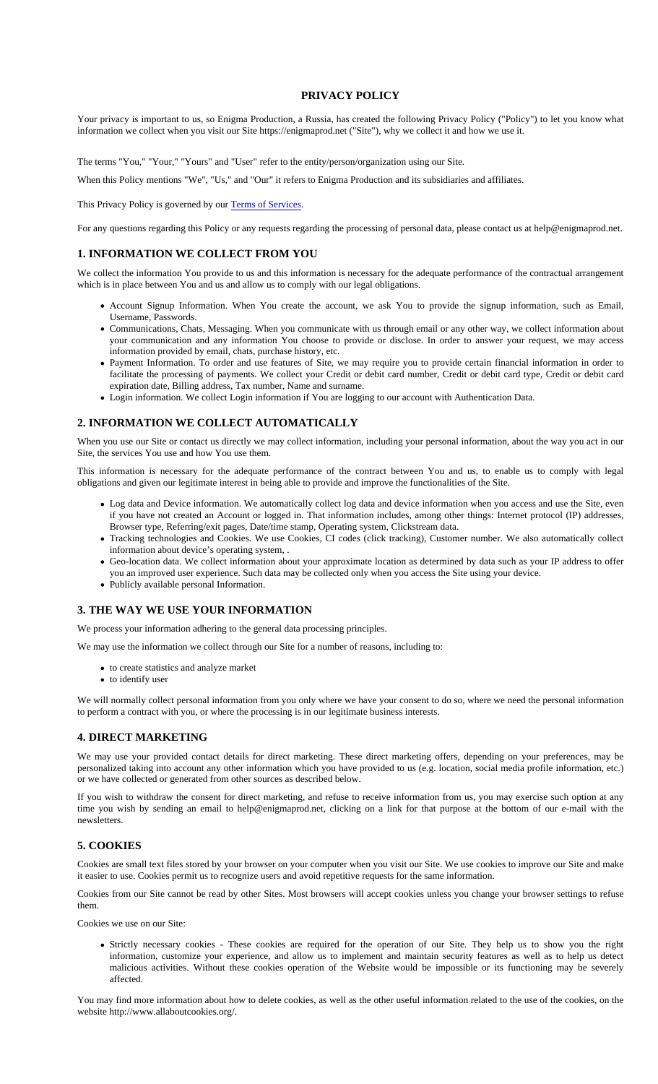# PRIVACY POLICY

Your privacy is important to us, so Enigma Production, a Russia, has created the following Privacy Policy ("Policy") to let you know wh information we collect when you visit our Site https://enigmaprod.net ("Site"), why we collect it and how we use it.

The terms "You," "Your," "Yours" and "User" refer to the entity/person/organization using our Site.

When this Policy mentions "We", "Us," and "Our" it refers to Enigma Production and its subsidiaries and affiliates.

This Privacy Policy is governed by olerms of Services.

For any questions regarding this Policy or any requests regarding the processing of personal data, please contact us at help@enigmapro

# 1. INFORMATION WE COLLECT FROM YOU

We collect the information You provide to us and this information is necessary for the adequate performance of the contractual arrange which is in place between You and us and allow us to comply with our legal obligations.

- Account Signup Information. When You create the account, we ask You to provide the signup information, such as Ema Username, Passwords.
- Communications, Chats, Messaging. When you communicate with us through email or any other way, we collect information ab your communication and any information You choose to provide or disclose. In order to answer your request, we may acc information provided by email, chats, purchase history, etc.
- Payment Information. To order and use features of Site, we may require you to provide certain financial information in order facilitate the processing of payments. We collect your Credit or debit card number, Credit or debit card type, Credit or debit card expiration date, Billing address, Tax number, Name and surname.
- Login information. We collect Login information if You are logging to our account with Authentication Data.

# 2. INFORMATION WE COLLECT AUTOMATICALLY

When you use our Site or contact us directly we may collect information, including your personal information, about the way you act in Site, the services You use and how You use them.

This information is necessary for the adequate performance of the contract between You and us, to enable us to comply with I obligations and given our legitimate interest in being able to provide and improve the functionalities of the Site.

- Log data and Device information. We automatically collect log data and device information when you access and use the Site, e if you have not created an Account or logged in. That information includes, among other things: Internet protocol (IP) address Browser type, Referring/exit pages, Date/time stamp, Operating system, Clickstream data.
- Tracking technologies and Cookies. We use Cookies, CI codes (click tracking), Customer number. We also automatically coll information about device's operating system, .
- Geo-location data. We collect information about your approximate location as determined by data such as your IP address to o you an improved user experience. Such data may be collected only when you access the Site using your device.
- Publicly available personal Information.

#### 3. THE WAY WE USE YOUR INFORMATION

We process your information adhering to the general data processing principles.

We may use the information we collect through our Site for a number of reasons, including to:

- to create statistics and analyze market
- to identify user

We will normally collect personal information from you only where we have your consent to do so, where we need the personal informat to perform a contract with you, or where the processing is in our legitimate business interests.

#### 4. DIRECT MARKETING

We may use your provided contact details for direct marketing. These direct marketing offers, depending on your preferences, ma personalized taking into account any other information which you have provided to us (e.g. location, social media profile information, e or we have collected or generated from other sources as described below.

If you wish to withdraw the consent for direct marketing, and refuse to receive information from us, you may exercise such option at time you wish by sending an email to help@enigmaprod.net, clicking on a link for that purpose at the bottom of our e-mail with t newsletters.

# 5. COOKIES

Cookies are small text files stored by your browser on your computer when you visit our Site. We use cookies to improve our Site and n it easier to use. Cookies permit us to recognize users and avoid repetitive requests for the same information.

Cookies from our Site cannot be read by other Sites. Most browsers will accept cookies unless you change your browser settings to r them.

Cookies we use on our Site:

• Strictly necessary cookies - These cookies are required for the operation of our Site. They help us to show you the ri information, customize your experience, and allow us to implement and maintain security features as well as to help us de malicious activities. Without these cookies operation of the Website would be impossible or its functioning may be severe affected.

You may find more information about how to delete cookies, as well as the other useful information related to the use of the cookies, or website http://www.allaboutcookies.org/.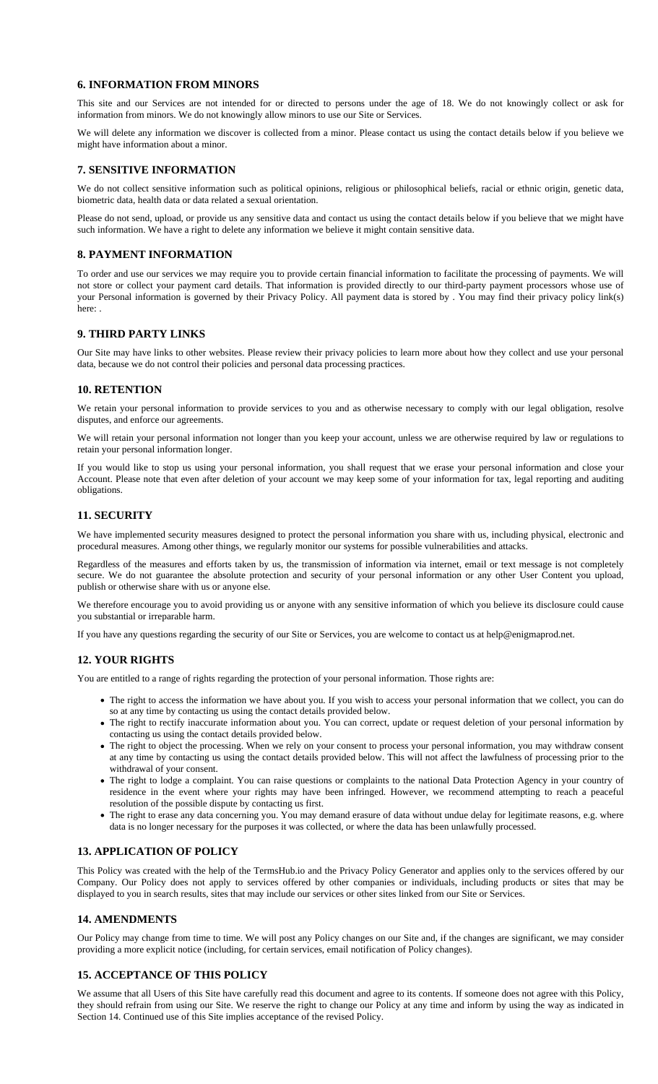#### 6. INFORMATION FROM MINORS

This site and our Services are not intended for or directed to persons under the age of 18. We do not knowingly collect or ask information from minors. We do not knowingly allow minors to use our Site or Services.

We will delete any information we discover is collected from a minor. Please contact us using the contact details below if you believe might have information about a minor.

# 7. SENSITIVE INFORMATION

We do not collect sensitive information such as political opinions, religious or philosophical beliefs, racial or ethnic origin, genetic da biometric data, health data or data related a sexual orientation.

Please do not send, upload, or provide us any sensitive data and contact us using the contact details below if you believe that we migh such information. We have a right to delete any information we believe it might contain sensitive data.

#### 8. PAYMENT INFORMATION

To order and use our services we may require you to provide certain financial information to facilitate the processing of payments. We not store or collect your payment card details. That information is provided directly to our third-party payment processors whose us your Personal information is governed by their Privacy Policy. All payment data is stored by . You may find their privacy policy link(s) here: .

# 9. THIRD PARTY LINKS

Our Site may have links to other websites. Please review their privacy policies to learn more about how they collect and use your pers data, because we do not control their policies and personal data processing practices.

# 10. RETENTION

We retain your personal information to provide services to you and as otherwise necessary to comply with our legal obligation, res disputes, and enforce our agreements.

We will retain your personal information not longer than you keep your account, unless we are otherwise required by law or regulation retain your personal information longer.

If you would like to stop us using your personal information, you shall request that we erase your personal information and close y Account. Please note that even after deletion of your account we may keep some of your information for tax, legal reporting and aud obligations.

# 11. SECURITY

We have implemented security measures designed to protect the personal information you share with us, including physical, electronic procedural measures. Among other things, we regularly monitor our systems for possible vulnerabilities and attacks.

Regardless of the measures and efforts taken by us, the transmission of information via internet, email or text message is not comp secure. We do not guarantee the absolute protection and security of your personal information or any other User Content you up publish or otherwise share with us or anyone else.

We therefore encourage you to avoid providing us or anyone with any sensitive information of which you believe its disclosure could ca you substantial or irreparable harm.

If you have any questions regarding the security of our Site or Services, you are welcome to contact us at help@enigmaprod.net.

# 12. YOUR RIGHTS

You are entitled to a range of rights regarding the protection of your personal information. Those rights are:

- The right to access the information we have about you. If you wish to access your personal information that we collect, you car so at any time by contacting us using the contact details provided below.
- The right to rectify inaccurate information about you. You can correct, update or request deletion of your personal information contacting us using the contact details provided below.
- . The right to object the processing. When we rely on your consent to process your personal information, you may withdraw cons at any time by contacting us using the contact details provided below. This will not affect the lawfulness of processing prior to t withdrawal of your consent.
- The right to lodge a complaint. You can raise questions or complaints to the national Data Protection Agency in your country residence in the event where your rights may have been infringed. However, we recommend attempting to reach a pead resolution of the possible dispute by contacting us first.
- The right to erase any data concerning you. You may demand erasure of data without undue delay for legitimate reasons, e.g. v data is no longer necessary for the purposes it was collected, or where the data has been unlawfully processed.

# 13. APPLICATION OF POLICY

This Policy was created with the help of the msHub.io and th[e Privacy Policy](https://termshub.io/privacy-policy?utm_source=referral&utm_medium=generated_documents&utm_campaign=referral_documents&utm_content=pp_th_text) Generator and applies only to the services offered by our Company. Our Policy does not apply to services offered by other companies or individuals, including products or sites that may be displayed to you in search results, sites that may include our services or other sites linked from our Site or Services.

#### 14. AMENDMENTS

Our Policy may change from time to time. We will post any Policy changes on our Site and, if the changes are significant, we may cons providing a more explicit notice (including, for certain services, email notification of Policy changes).

# 15. ACCEPTANCE OF THIS POLICY

We assume that all Users of this Site have carefully read this document and agree to its contents. If someone does not agree with this I they should refrain from using our Site. We reserve the right to change our Policy at any time and inform by using the way as indicate Section 14. Continued use of this Site implies acceptance of the revised Policy.